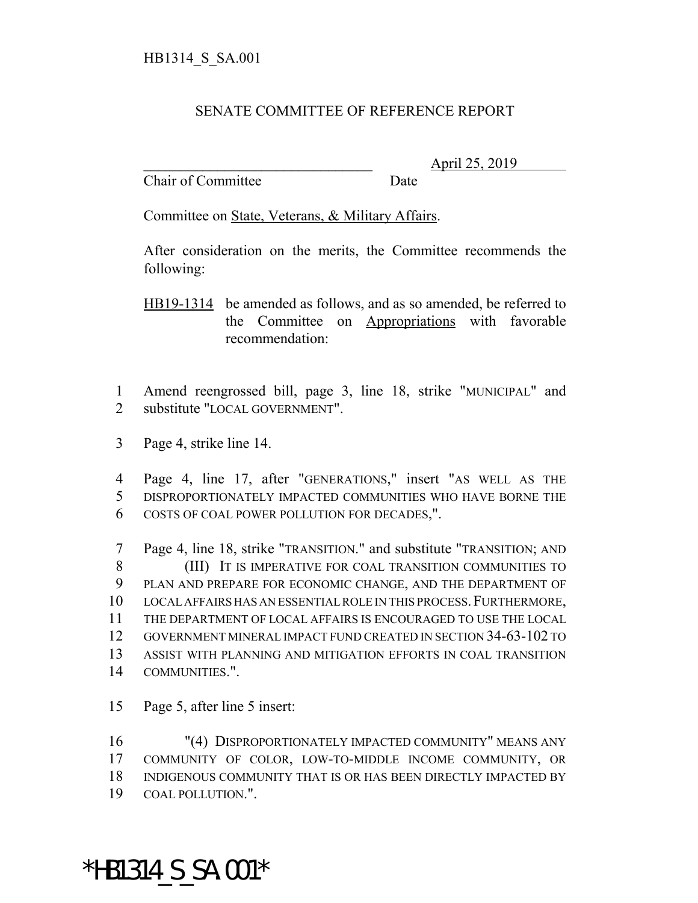## SENATE COMMITTEE OF REFERENCE REPORT

Chair of Committee Date

\_\_\_\_\_\_\_\_\_\_\_\_\_\_\_\_\_\_\_\_\_\_\_\_\_\_\_\_\_\_\_ April 25, 2019

Committee on State, Veterans, & Military Affairs.

After consideration on the merits, the Committee recommends the following:

HB19-1314 be amended as follows, and as so amended, be referred to the Committee on Appropriations with favorable recommendation:

 Amend reengrossed bill, page 3, line 18, strike "MUNICIPAL" and substitute "LOCAL GOVERNMENT".

Page 4, strike line 14.

 Page 4, line 17, after "GENERATIONS," insert "AS WELL AS THE DISPROPORTIONATELY IMPACTED COMMUNITIES WHO HAVE BORNE THE COSTS OF COAL POWER POLLUTION FOR DECADES,".

 Page 4, line 18, strike "TRANSITION." and substitute "TRANSITION; AND (III) IT IS IMPERATIVE FOR COAL TRANSITION COMMUNITIES TO PLAN AND PREPARE FOR ECONOMIC CHANGE, AND THE DEPARTMENT OF LOCAL AFFAIRS HAS AN ESSENTIAL ROLE IN THIS PROCESS.FURTHERMORE, THE DEPARTMENT OF LOCAL AFFAIRS IS ENCOURAGED TO USE THE LOCAL GOVERNMENT MINERAL IMPACT FUND CREATED IN SECTION 34-63-102 TO ASSIST WITH PLANNING AND MITIGATION EFFORTS IN COAL TRANSITION COMMUNITIES.".

Page 5, after line 5 insert:

 "(4) DISPROPORTIONATELY IMPACTED COMMUNITY" MEANS ANY COMMUNITY OF COLOR, LOW-TO-MIDDLE INCOME COMMUNITY, OR INDIGENOUS COMMUNITY THAT IS OR HAS BEEN DIRECTLY IMPACTED BY COAL POLLUTION.".

\*HB1314\_S\_SA.001\*